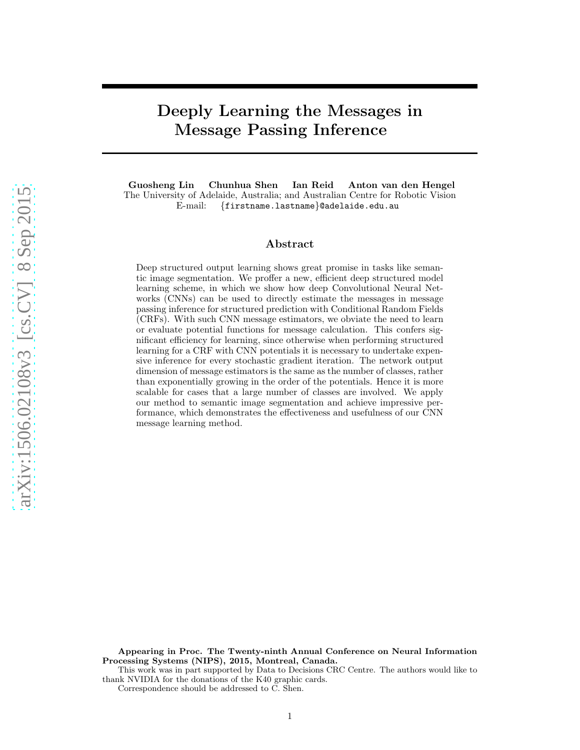# Deeply Learning the Messages in Message Passing Inference

Guosheng Lin Chunhua Shen Ian Reid Anton van den Hengel The University of Adelaide, Australia; and Australian Centre for Robotic Vision E-mail: {firstname.lastname}@adelaide.edu.au

# Abstract

Deep structured output learning shows great promise in tasks like semantic image segmentation. We proffer a new, efficient deep structured model learning scheme, in which we show how deep Convolutional Neural Networks (CNNs) can be used to directly estimate the messages in message passing inference for structured prediction with Conditional Random Fields (CRFs). With such CNN message estimators, we obviate the need to learn or evaluate potential functions for message calculation. This confers significant efficiency for learning, since otherwise when performing structured learning for a CRF with CNN potentials it is necessary to undertake expensive inference for every stochastic gradient iteration. The network output dimension of message estimators is the same as the number of classes, rather than exponentially growing in the order of the potentials. Hence it is more scalable for cases that a large number of classes are involved. We apply our method to semantic image segmentation and achieve impressive performance, which demonstrates the effectiveness and usefulness of our CNN message learning method.

Appearing in Proc. The Twenty-ninth Annual Conference on Neural Information Processing Systems (NIPS), 2015, Montreal, Canada.

This work was in part supported by Data to Decisions CRC Centre. The authors would like to thank NVIDIA for the donations of the K40 graphic cards.

Correspondence should be addressed to C. Shen.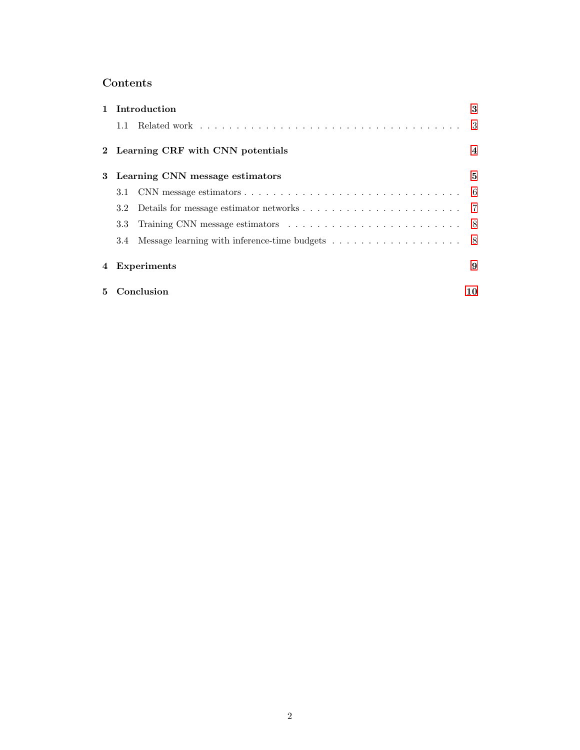# Contents

|   | 1 Introduction                                                                                                  | 3              |
|---|-----------------------------------------------------------------------------------------------------------------|----------------|
|   | 1.1                                                                                                             |                |
|   | 2 Learning CRF with CNN potentials                                                                              | $\overline{4}$ |
|   | 3 Learning CNN message estimators                                                                               | 5              |
|   | CNN message estimators $\dots \dots \dots \dots \dots \dots \dots \dots \dots \dots \dots \dots \dots$ 6<br>3.1 |                |
|   |                                                                                                                 |                |
|   | 3.3 <sub>1</sub>                                                                                                |                |
|   | 3.4 Message learning with inference-time budgets 8                                                              |                |
| 4 | Experiments                                                                                                     | 9              |
|   | 5 Conclusion                                                                                                    | 10             |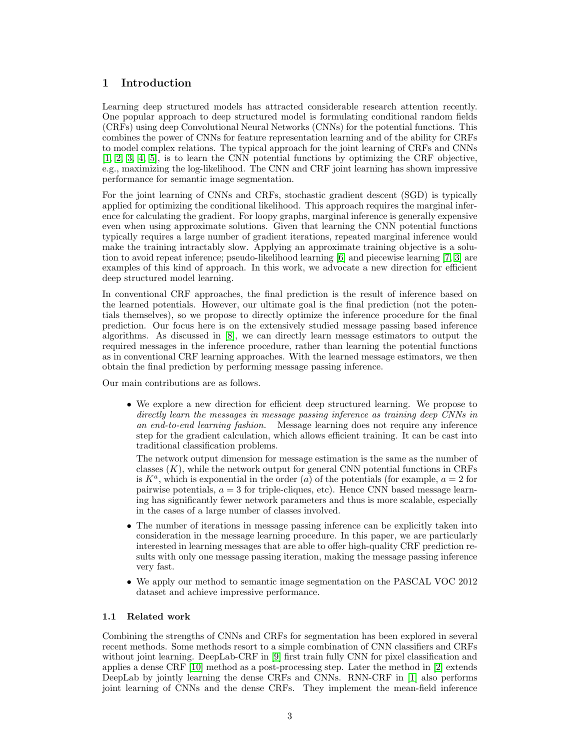# <span id="page-2-0"></span>1 Introduction

Learning deep structured models has attracted considerable research attention recently. One popular approach to deep structured model is formulating conditional random fields (CRFs) using deep Convolutional Neural Networks (CNNs) for the potential functions. This combines the power of CNNs for feature representation learning and of the ability for CRFs to model complex relations. The typical approach for the joint learning of CRFs and CNNs [\[1,](#page-9-1) [2,](#page-9-2) [3,](#page-10-0) [4,](#page-10-1) [5\]](#page-10-2), is to learn the CNN potential functions by optimizing the CRF objective, e.g., maximizing the log-likelihood. The CNN and CRF joint learning has shown impressive performance for semantic image segmentation.

For the joint learning of CNNs and CRFs, stochastic gradient descent (SGD) is typically applied for optimizing the conditional likelihood. This approach requires the marginal inference for calculating the gradient. For loopy graphs, marginal inference is generally expensive even when using approximate solutions. Given that learning the CNN potential functions typically requires a large number of gradient iterations, repeated marginal inference would make the training intractably slow. Applying an approximate training objective is a solution to avoid repeat inference; pseudo-likelihood learning [\[6\]](#page-10-3) and piecewise learning [\[7,](#page-10-4) [3\]](#page-10-0) are examples of this kind of approach. In this work, we advocate a new direction for efficient deep structured model learning.

In conventional CRF approaches, the final prediction is the result of inference based on the learned potentials. However, our ultimate goal is the final prediction (not the potentials themselves), so we propose to directly optimize the inference procedure for the final prediction. Our focus here is on the extensively studied message passing based inference algorithms. As discussed in [\[8\]](#page-10-5), we can directly learn message estimators to output the required messages in the inference procedure, rather than learning the potential functions as in conventional CRF learning approaches. With the learned message estimators, we then obtain the final prediction by performing message passing inference.

Our main contributions are as follows.

• We explore a new direction for efficient deep structured learning. We propose to directly learn the messages in message passing inference as training deep CNNs in an end-to-end learning fashion. Message learning does not require any inference step for the gradient calculation, which allows efficient training. It can be cast into traditional classification problems.

The network output dimension for message estimation is the same as the number of classes  $(K)$ , while the network output for general CNN potential functions in CRFs is  $K^a$ , which is exponential in the order  $(a)$  of the potentials (for example,  $a = 2$  for pairwise potentials,  $a = 3$  for triple-cliques, etc). Hence CNN based message learning has significantly fewer network parameters and thus is more scalable, especially in the cases of a large number of classes involved.

- The number of iterations in message passing inference can be explicitly taken into consideration in the message learning procedure. In this paper, we are particularly interested in learning messages that are able to offer high-quality CRF prediction results with only one message passing iteration, making the message passing inference very fast.
- We apply our method to semantic image segmentation on the PASCAL VOC 2012 dataset and achieve impressive performance.

### <span id="page-2-1"></span>1.1 Related work

Combining the strengths of CNNs and CRFs for segmentation has been explored in several recent methods. Some methods resort to a simple combination of CNN classifiers and CRFs without joint learning. DeepLab-CRF in [\[9\]](#page-10-6) first train fully CNN for pixel classification and applies a dense CRF [\[10\]](#page-10-7) method as a post-processing step. Later the method in [\[2\]](#page-9-2) extends DeepLab by jointly learning the dense CRFs and CNNs. RNN-CRF in [\[1\]](#page-9-1) also performs joint learning of CNNs and the dense CRFs. They implement the mean-field inference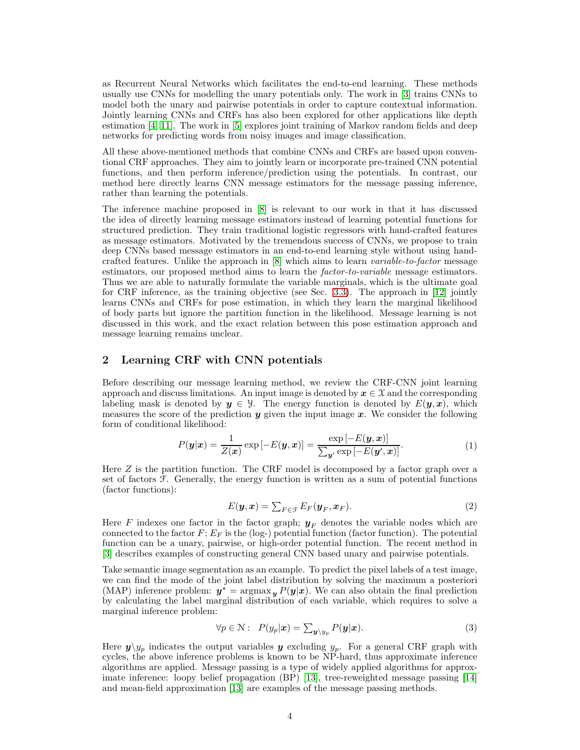as Recurrent Neural Networks which facilitates the end-to-end learning. These methods usually use CNNs for modelling the unary potentials only. The work in [\[3\]](#page-10-0) trains CNNs to model both the unary and pairwise potentials in order to capture contextual information. Jointly learning CNNs and CRFs has also been explored for other applications like depth estimation [\[4,](#page-10-1) [11\]](#page-10-8). The work in [\[5\]](#page-10-2) explores joint training of Markov random fields and deep networks for predicting words from noisy images and image classification.

All these above-mentioned methods that combine CNNs and CRFs are based upon conventional CRF approaches. They aim to jointly learn or incorporate pre-trained CNN potential functions, and then perform inference/prediction using the potentials. In contrast, our method here directly learns CNN message estimators for the message passing inference, rather than learning the potentials.

The inference machine proposed in [\[8\]](#page-10-5) is relevant to our work in that it has discussed the idea of directly learning message estimators instead of learning potential functions for structured prediction. They train traditional logistic regressors with hand-crafted features as message estimators. Motivated by the tremendous success of CNNs, we propose to train deep CNNs based message estimators in an end-to-end learning style without using handcrafted features. Unlike the approach in [\[8\]](#page-10-5) which aims to learn variable-to-factor message estimators, our proposed method aims to learn the *factor-to-variable* message estimators. Thus we are able to naturally formulate the variable marginals, which is the ultimate goal for CRF inference, as the training objective (see Sec. [3.3\)](#page-7-0). The approach in [\[12\]](#page-10-9) jointly learns CNNs and CRFs for pose estimation, in which they learn the marginal likelihood of body parts but ignore the partition function in the likelihood. Message learning is not discussed in this work, and the exact relation between this pose estimation approach and message learning remains unclear.

## <span id="page-3-0"></span>2 Learning CRF with CNN potentials

Before describing our message learning method, we review the CRF-CNN joint learning approach and discuss limitations. An input image is denoted by  $x \in \mathcal{X}$  and the corresponding labeling mask is denoted by  $y \in \mathcal{Y}$ . The energy function is denoted by  $E(y, x)$ , which measures the score of the prediction  $y$  given the input image  $x$ . We consider the following form of conditional likelihood:

$$
P(\mathbf{y}|\mathbf{x}) = \frac{1}{Z(\mathbf{x})} \exp\left[-E(\mathbf{y}, \mathbf{x})\right] = \frac{\exp\left[-E(\mathbf{y}, \mathbf{x})\right]}{\sum_{\mathbf{y}'} \exp\left[-E(\mathbf{y}', \mathbf{x})\right]}.
$$
(1)

Here Z is the partition function. The CRF model is decomposed by a factor graph over a set of factors  $F$ . Generally, the energy function is written as a sum of potential functions (factor functions):

$$
E(\mathbf{y}, \mathbf{x}) = \sum_{F \in \mathcal{F}} E_F(\mathbf{y}_F, \mathbf{x}_F).
$$
 (2)

Here F indexes one factor in the factor graph;  $y_F$  denotes the variable nodes which are connected to the factor  $F; E_F$  is the (log-) potential function (factor function). The potential function can be a unary, pairwise, or high-order potential function. The recent method in [\[3\]](#page-10-0) describes examples of constructing general CNN based unary and pairwise potentials.

Take semantic image segmentation as an example. To predict the pixel labels of a test image, we can find the mode of the joint label distribution by solving the maximum a posteriori (MAP) inference problem:  $y^* = \argmax_y P(y|x)$ . We can also obtain the final prediction by calculating the label marginal distribution of each variable, which requires to solve a marginal inference problem:

<span id="page-3-1"></span>
$$
\forall p \in \mathcal{N}: \ P(y_p|\mathbf{x}) = \sum_{\mathbf{y} \setminus y_p} P(\mathbf{y}|\mathbf{x}). \tag{3}
$$

Here  $y\chi_{y_p}$  indicates the output variables y excluding  $y_p$ . For a general CRF graph with cycles, the above inference problems is known to be NP-hard, thus approximate inference algorithms are applied. Message passing is a type of widely applied algorithms for approximate inference: loopy belief propagation (BP) [\[13\]](#page-10-10), tree-reweighted message passing [\[14\]](#page-10-11) and mean-field approximation [\[13\]](#page-10-10) are examples of the message passing methods.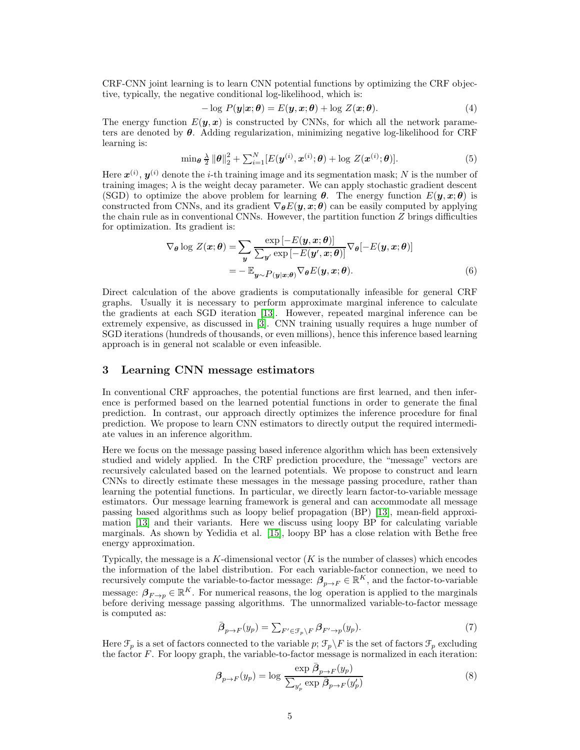CRF-CNN joint learning is to learn CNN potential functions by optimizing the CRF objective, typically, the negative conditional log-likelihood, which is:

$$
-\log P(\mathbf{y}|\mathbf{x};\boldsymbol{\theta}) = E(\mathbf{y}, \mathbf{x};\boldsymbol{\theta}) + \log Z(\mathbf{x};\boldsymbol{\theta}).
$$
\n(4)

The energy function  $E(\mathbf{y}, \mathbf{x})$  is constructed by CNNs, for which all the network parameters are denoted by  $\theta$ . Adding regularization, minimizing negative log-likelihood for CRF learning is:

$$
\min_{\boldsymbol{\theta}} \frac{\lambda}{2} \|\boldsymbol{\theta}\|_2^2 + \sum_{i=1}^N [E(\boldsymbol{y}^{(i)}, \boldsymbol{x}^{(i)}; \boldsymbol{\theta}) + \log Z(\boldsymbol{x}^{(i)}; \boldsymbol{\theta})]. \tag{5}
$$

Here  $\mathbf{x}^{(i)}$ ,  $\mathbf{y}^{(i)}$  denote the *i*-th training image and its segmentation mask; N is the number of training images;  $\lambda$  is the weight decay parameter. We can apply stochastic gradient descent (SGD) to optimize the above problem for learning  $\theta$ . The energy function  $E(y, x; \theta)$  is constructed from CNNs, and its gradient  $\nabla_{\theta} E(y, x; \theta)$  can be easily computed by applying the chain rule as in conventional CNNs. However, the partition function  $Z$  brings difficulties for optimization. Its gradient is:

$$
\nabla_{\theta} \log Z(\boldsymbol{x}; \theta) = \sum_{\boldsymbol{y}} \frac{\exp \left[ -E(\boldsymbol{y}, \boldsymbol{x}; \theta) \right]}{\sum_{\boldsymbol{y'} \exp \left[ -E(\boldsymbol{y'}, \boldsymbol{x}; \theta) \right]} \nabla_{\theta} [-E(\boldsymbol{y}, \boldsymbol{x}; \theta)]}
$$

$$
= -\mathbb{E}_{\boldsymbol{y} \sim P(\boldsymbol{y}|\boldsymbol{x}; \theta)} \nabla_{\theta} E(\boldsymbol{y}, \boldsymbol{x}; \theta). \tag{6}
$$

Direct calculation of the above gradients is computationally infeasible for general CRF graphs. Usually it is necessary to perform approximate marginal inference to calculate the gradients at each SGD iteration [\[13\]](#page-10-10). However, repeated marginal inference can be extremely expensive, as discussed in [\[3\]](#page-10-0). CNN training usually requires a huge number of SGD iterations (hundreds of thousands, or even millions), hence this inference based learning approach is in general not scalable or even infeasible.

# <span id="page-4-0"></span>3 Learning CNN message estimators

In conventional CRF approaches, the potential functions are first learned, and then inference is performed based on the learned potential functions in order to generate the final prediction. In contrast, our approach directly optimizes the inference procedure for final prediction. We propose to learn CNN estimators to directly output the required intermediate values in an inference algorithm.

Here we focus on the message passing based inference algorithm which has been extensively studied and widely applied. In the CRF prediction procedure, the "message" vectors are recursively calculated based on the learned potentials. We propose to construct and learn CNNs to directly estimate these messages in the message passing procedure, rather than learning the potential functions. In particular, we directly learn factor-to-variable message estimators. Our message learning framework is general and can accommodate all message passing based algorithms such as loopy belief propagation (BP) [\[13\]](#page-10-10), mean-field approximation [\[13\]](#page-10-10) and their variants. Here we discuss using loopy BP for calculating variable marginals. As shown by Yedidia et al. [\[15\]](#page-10-12), loopy BP has a close relation with Bethe free energy approximation.

Typically, the message is a K-dimensional vector  $(K$  is the number of classes) which encodes the information of the label distribution. For each variable-factor connection, we need to recursively compute the variable-to-factor message:  $\beta_{p\to F} \in \mathbb{R}^K$ , and the factor-to-variable message:  $\beta_{F\to p} \in \mathbb{R}^K$ . For numerical reasons, the log operation is applied to the marginals before deriving message passing algorithms. The unnormalized variable-to-factor message is computed as:

$$
\bar{\boldsymbol{\beta}}_{p \to F}(y_p) = \sum_{F' \in \mathcal{F}_p \backslash F} \boldsymbol{\beta}_{F' \to p}(y_p). \tag{7}
$$

Here  $\mathcal{F}_p$  is a set of factors connected to the variable p;  $\mathcal{F}_p\backslash F$  is the set of factors  $\mathcal{F}_p$  excluding the factor  $F$ . For loopy graph, the variable-to-factor message is normalized in each iteration:

<span id="page-4-1"></span>
$$
\beta_{p \to F}(y_p) = \log \frac{\exp \bar{\beta}_{p \to F}(y_p)}{\sum_{y'_p} \exp \bar{\beta}_{p \to F}(y'_p)}
$$
\n(8)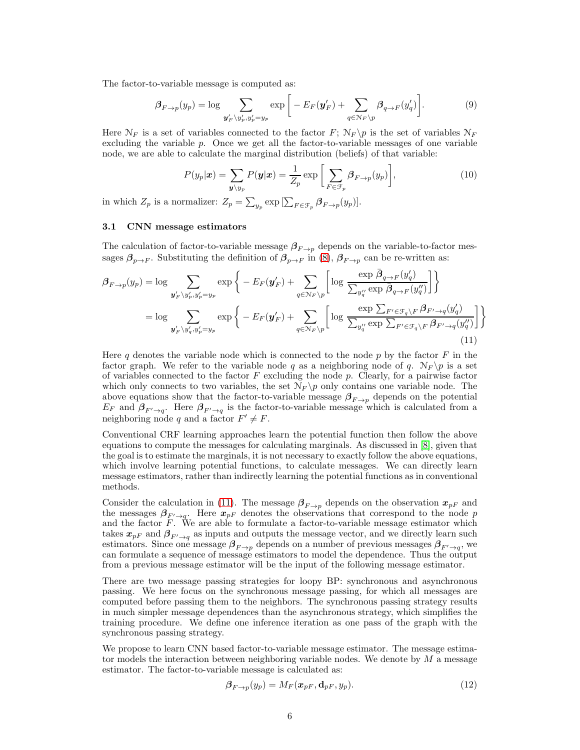The factor-to-variable message is computed as:

$$
\beta_{F \to p}(y_p) = \log \sum_{\mathbf{y}'_F \backslash y'_p, y'_p = y_p} \exp \bigg[ -E_F(\mathbf{y}'_F) + \sum_{q \in \mathcal{N}_F \backslash p} \beta_{q \to F}(y'_q) \bigg]. \tag{9}
$$

Here  $\mathcal{N}_F$  is a set of variables connected to the factor F;  $\mathcal{N}_F \backslash p$  is the set of variables  $\mathcal{N}_F$ excluding the variable  $p$ . Once we get all the factor-to-variable messages of one variable node, we are able to calculate the marginal distribution (beliefs) of that variable:

<span id="page-5-1"></span>
$$
P(y_p|\mathbf{x}) = \sum_{\mathbf{y} \setminus y_p} P(\mathbf{y}|\mathbf{x}) = \frac{1}{Z_p} \exp\left[\sum_{F \in \mathcal{F}_p} \beta_{F \to p}(y_p)\right],\tag{10}
$$

<span id="page-5-0"></span>in which  $Z_p$  is a normalizer:  $Z_p = \sum_{y_p} \exp\left[\sum_{F \in \mathcal{F}_p} \beta_{F \to p}(y_p)\right]$ .

#### 3.1 CNN message estimators

The calculation of factor-to-variable message  $\beta_{F\to p}$  depends on the variable-to-factor messages  $\beta_{p\to F}$ . Substituting the definition of  $\beta_{p\to F}$  in [\(8\)](#page-4-1),  $\beta_{F\to p}$  can be re-written as:

$$
\beta_{F \to p}(y_p) = \log \sum_{\mathbf{y}'_F \backslash y'_p, y'_p = y_p} \exp \left\{ -E_F(\mathbf{y}'_F) + \sum_{q \in \mathcal{N}_F \backslash p} \left[ \log \frac{\exp \bar{\beta}_{q \to F}(y'_q)}{\sum_{y''_q} \exp \bar{\beta}_{q \to F}(y''_q)} \right] \right\}
$$
  
\n
$$
= \log \sum_{\mathbf{y}'_F \backslash y'_q, y'_p = y_p} \exp \left\{ -E_F(\mathbf{y}'_F) + \sum_{q \in \mathcal{N}_F \backslash p} \left[ \log \frac{\exp \sum_{F' \in \mathcal{F}_q \backslash F} \beta_{F' \to q}(y'_q)}{\sum_{y''_q} \exp \sum_{F' \in \mathcal{F}_q \backslash F} \beta_{F' \to q}(y''_q)} \right] \right\}
$$
\n(11)

Here q denotes the variable node which is connected to the node  $p$  by the factor  $F$  in the factor graph. We refer to the variable node q as a neighboring node of q.  $N_F \$  is a set of variables connected to the factor  $F$  excluding the node  $p$ . Clearly, for a pairwise factor which only connects to two variables, the set  $N_F \pmb{\phi}$  only contains one variable node. The above equations show that the factor-to-variable message  $\beta_{F\to p}$  depends on the potential  $E_F$  and  $\beta_{F' \to q}$ . Here  $\beta_{F' \to q}$  is the factor-to-variable message which is calculated from a neighboring node q and a factor  $F' \neq F$ .

Conventional CRF learning approaches learn the potential function then follow the above equations to compute the messages for calculating marginals. As discussed in [\[8\]](#page-10-5), given that the goal is to estimate the marginals, it is not necessary to exactly follow the above equations, which involve learning potential functions, to calculate messages. We can directly learn message estimators, rather than indirectly learning the potential functions as in conventional methods.

Consider the calculation in [\(11\)](#page-5-1). The message  $\beta_{F\rightarrow p}$  depends on the observation  $x_{pF}$  and the messages  $\beta_{F' \to q}$ . Here  $x_{pF}$  denotes the observations that correspond to the node p and the factor  $F$ . We are able to formulate a factor-to-variable message estimator which takes  $x_{pF}$  and  $\beta_{F' \to q}$  as inputs and outputs the message vector, and we directly learn such estimators. Since one message  $\beta_{F\to p}$  depends on a number of previous messages  $\beta_{F'\to q}$ , we can formulate a sequence of message estimators to model the dependence. Thus the output from a previous message estimator will be the input of the following message estimator.

There are two message passing strategies for loopy BP: synchronous and asynchronous passing. We here focus on the synchronous message passing, for which all messages are computed before passing them to the neighbors. The synchronous passing strategy results in much simpler message dependences than the asynchronous strategy, which simplifies the training procedure. We define one inference iteration as one pass of the graph with the synchronous passing strategy.

We propose to learn CNN based factor-to-variable message estimator. The message estimator models the interaction between neighboring variable nodes. We denote by  $M$  a message estimator. The factor-to-variable message is calculated as:

<span id="page-5-2"></span>
$$
\beta_{F \to p}(y_p) = M_F(\boldsymbol{x}_{pF}, \mathbf{d}_{pF}, y_p). \tag{12}
$$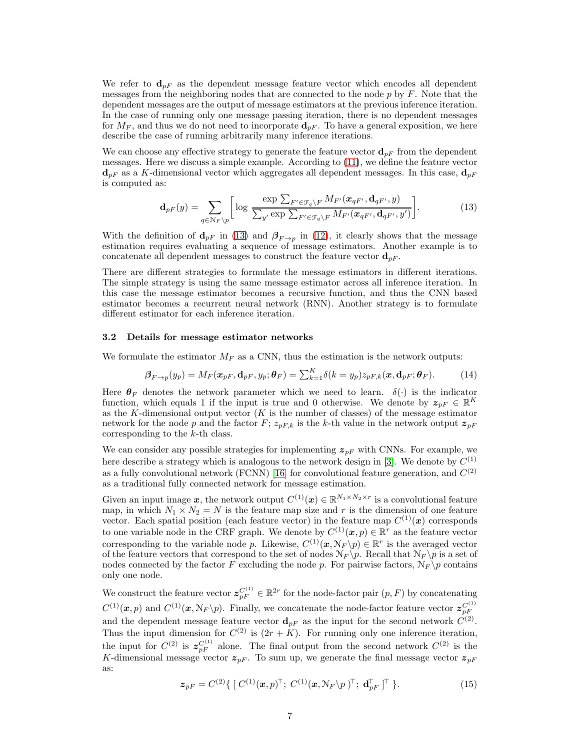We refer to  $\mathbf{d}_{pF}$  as the dependent message feature vector which encodes all dependent messages from the neighboring nodes that are connected to the node  $p$  by  $F$ . Note that the dependent messages are the output of message estimators at the previous inference iteration. In the case of running only one message passing iteration, there is no dependent messages for  $M_F$ , and thus we do not need to incorporate  $\mathbf{d}_{pF}$ . To have a general exposition, we here describe the case of running arbitrarily many inference iterations.

We can choose any effective strategy to generate the feature vector  $\mathbf{d}_{pF}$  from the dependent messages. Here we discuss a simple example. According to [\(11\)](#page-5-1), we define the feature vector  $\mathbf{d}_{pF}$  as a K-dimensional vector which aggregates all dependent messages. In this case,  $\mathbf{d}_{pF}$ is computed as:

<span id="page-6-1"></span>
$$
\mathbf{d}_{pF}(y) = \sum_{q \in \mathcal{N}_F \backslash p} \left[ \log \frac{\exp \sum_{F' \in \mathcal{F}_q \backslash F} M_{F'}(\boldsymbol{x}_{qF'}, \mathbf{d}_{qF'}, y)}{\sum_{y'} \exp \sum_{F' \in \mathcal{F}_q \backslash F} M_{F'}(\boldsymbol{x}_{qF'}, \mathbf{d}_{qF'}, y')} \right]. \tag{13}
$$

With the definition of  $\mathbf{d}_{pF}$  in [\(13\)](#page-6-1) and  $\beta_{F\rightarrow p}$  in [\(12\)](#page-5-2), it clearly shows that the message estimation requires evaluating a sequence of message estimators. Another example is to concatenate all dependent messages to construct the feature vector  $\mathbf{d}_{pF}$ .

There are different strategies to formulate the message estimators in different iterations. The simple strategy is using the same message estimator across all inference iteration. In this case the message estimator becomes a recursive function, and thus the CNN based estimator becomes a recurrent neural network (RNN). Another strategy is to formulate different estimator for each inference iteration.

#### <span id="page-6-0"></span>3.2 Details for message estimator networks

We formulate the estimator  $M_F$  as a CNN, thus the estimation is the network outputs:

$$
\boldsymbol{\beta}_{F \to p}(y_p) = M_F(\boldsymbol{x}_{pF}, \mathbf{d}_{pF}, y_p; \boldsymbol{\theta}_F) = \sum_{k=1}^{K} \delta(k = y_p) z_{pF,k}(\boldsymbol{x}, \mathbf{d}_{pF}; \boldsymbol{\theta}_F).
$$
(14)

Here  $\theta_F$  denotes the network parameter which we need to learn.  $\delta(\cdot)$  is the indicator function, which equals 1 if the input is true and 0 otherwise. We denote by  $z_{pF} \in \mathbb{R}^K$ as the K-dimensional output vector  $(K$  is the number of classes) of the message estimator network for the node p and the factor F;  $z_{pF,k}$  is the k-th value in the network output  $z_{pF}$ corresponding to the k-th class.

We can consider any possible strategies for implementing  $z_{pF}$  with CNNs. For example, we here describe a strategy which is analogous to the network design in [\[3\]](#page-10-0). We denote by  $C^{(1)}$ as a fully convolutional network (FCNN) [\[16\]](#page-10-13) for convolutional feature generation, and  $C^{(2)}$ as a traditional fully connected network for message estimation.

Given an input image x, the network output  $C^{(1)}(\mathbf{x}) \in \mathbb{R}^{N_1 \times N_2 \times r}$  is a convolutional feature map, in which  $N_1 \times N_2 = N$  is the feature map size and r is the dimension of one feature vector. Each spatial position (each feature vector) in the feature map  $C^{(1)}(x)$  corresponds to one variable node in the CRF graph. We denote by  $C^{(1)}(\mathbf{x}, p) \in \mathbb{R}^r$  as the feature vector corresponding to the variable node p. Likewise,  $C^{(1)}(\mathbf{x}, \mathcal{N}_F \backslash p) \in \mathbb{R}^r$  is the averaged vector of the feature vectors that correspond to the set of nodes  $N_F \pmb{\setminus} p$ . Recall that  $N_F \pmb{\setminus} p$  is a set of nodes connected by the factor F excluding the node p. For pairwise factors,  $N_F \pmb{\setminus} p$  contains only one node.

We construct the feature vector  $\mathcal{Z}_{pF}^{C^{(1)}} \in \mathbb{R}^{2r}$  for the node-factor pair  $(p, F)$  by concatenating  $C^{(1)}(\mathbf{x},p)$  and  $C^{(1)}(\mathbf{x},\mathcal{N}_F \backslash p)$ . Finally, we concatenate the node-factor feature vector  $\mathcal{Z}_{pF}^{C^{(1)}}$ and the dependent message feature vector  $\mathbf{d}_{pF}$  as the input for the second network  $C^{(2)}$ . Thus the input dimension for  $C^{(2)}$  is  $(2r+K)$ . For running only one inference iteration, the input for  $C^{(2)}$  is  $\mathfrak{z}_{pF}^{C^{(1)}}$  alone. The final output from the second network  $C^{(2)}$  is the K-dimensional message vector  $z_{pF}$ . To sum up, we generate the final message vector  $z_{pF}$ as:

$$
\mathbf{z}_{pF} = C^{(2)} \{ [ C^{(1)}(\mathbf{x}, p)^{\top}; C^{(1)}(\mathbf{x}, \mathcal{N}_F \backslash p)^{\top}; \mathbf{d}_{pF}^{\top} ]^{\top} \}.
$$
 (15)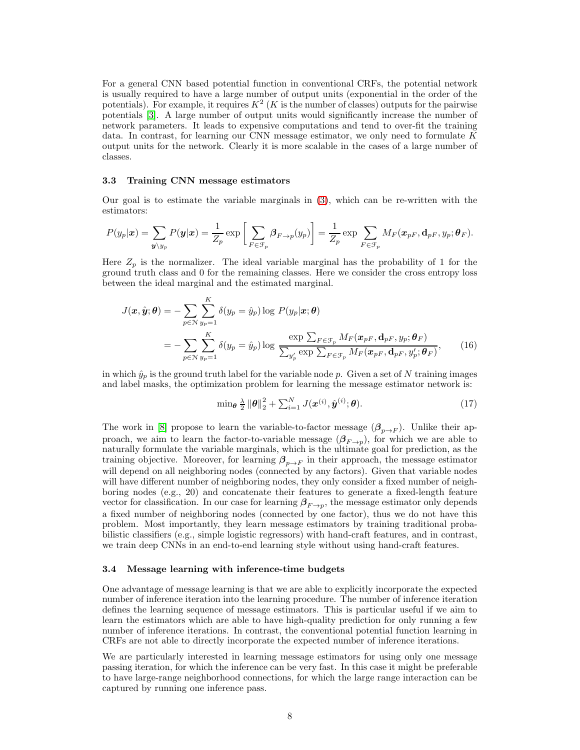For a general CNN based potential function in conventional CRFs, the potential network is usually required to have a large number of output units (exponential in the order of the potentials). For example, it requires  $K^2$  (K is the number of classes) outputs for the pairwise potentials [\[3\]](#page-10-0). A large number of output units would significantly increase the number of network parameters. It leads to expensive computations and tend to over-fit the training data. In contrast, for learning our CNN message estimator, we only need to formulate  $K$ output units for the network. Clearly it is more scalable in the cases of a large number of classes.

#### <span id="page-7-0"></span>3.3 Training CNN message estimators

Our goal is to estimate the variable marginals in [\(3\)](#page-3-1), which can be re-written with the estimators:

$$
P(y_p|\boldsymbol{x}) = \sum_{\boldsymbol{y} \setminus y_p} P(\boldsymbol{y}|\boldsymbol{x}) = \frac{1}{Z_p} \exp \bigg[ \sum_{F \in \mathcal{F}_p} \beta_{F \to p}(y_p) \bigg] = \frac{1}{Z_p} \exp \sum_{F \in \mathcal{F}_p} M_F(\boldsymbol{x}_{pF}, \mathbf{d}_{pF}, y_p; \boldsymbol{\theta}_F).
$$

Here  $Z_p$  is the normalizer. The ideal variable marginal has the probability of 1 for the ground truth class and 0 for the remaining classes. Here we consider the cross entropy loss between the ideal marginal and the estimated marginal.

$$
J(\boldsymbol{x}, \hat{\boldsymbol{y}}; \boldsymbol{\theta}) = -\sum_{p \in \mathcal{N}} \sum_{y_p=1}^{K} \delta(y_p = \hat{y}_p) \log P(y_p | \boldsymbol{x}; \boldsymbol{\theta})
$$
  
= 
$$
-\sum_{p \in \mathcal{N}} \sum_{y_p=1}^{K} \delta(y_p = \hat{y}_p) \log \frac{\exp \sum_{F \in \mathcal{F}_p} M_F(\boldsymbol{x}_{pF}, \mathbf{d}_{pF}, y_p; \boldsymbol{\theta}_F)}{\sum_{y_p'} \exp \sum_{F \in \mathcal{F}_p} M_F(\boldsymbol{x}_{pF}, \mathbf{d}_{pF}, y_p'; \boldsymbol{\theta}_F)}, \qquad (16)
$$

in which  $\hat{y}_p$  is the ground truth label for the variable node p. Given a set of N training images and label masks, the optimization problem for learning the message estimator network is:

$$
\min_{\boldsymbol{\theta}} \frac{\lambda}{2} \left\| \boldsymbol{\theta} \right\|_2^2 + \sum_{i=1}^N J(\boldsymbol{x}^{(i)}, \hat{\boldsymbol{y}}^{(i)}; \boldsymbol{\theta}). \tag{17}
$$

The work in [\[8\]](#page-10-5) propose to learn the variable-to-factor message  $(\beta_{p\to F})$ . Unlike their approach, we aim to learn the factor-to-variable message  $(\beta_{F\to p})$ , for which we are able to naturally formulate the variable marginals, which is the ultimate goal for prediction, as the training objective. Moreover, for learning  $\beta_{p\to F}$  in their approach, the message estimator will depend on all neighboring nodes (connected by any factors). Given that variable nodes will have different number of neighboring nodes, they only consider a fixed number of neighboring nodes (e.g., 20) and concatenate their features to generate a fixed-length feature vector for classification. In our case for learning  $\beta_{F\to p}$ , the message estimator only depends a fixed number of neighboring nodes (connected by one factor), thus we do not have this problem. Most importantly, they learn message estimators by training traditional probabilistic classifiers (e.g., simple logistic regressors) with hand-craft features, and in contrast, we train deep CNNs in an end-to-end learning style without using hand-craft features.

#### <span id="page-7-1"></span>3.4 Message learning with inference-time budgets

One advantage of message learning is that we are able to explicitly incorporate the expected number of inference iteration into the learning procedure. The number of inference iteration defines the learning sequence of message estimators. This is particular useful if we aim to learn the estimators which are able to have high-quality prediction for only running a few number of inference iterations. In contrast, the conventional potential function learning in CRFs are not able to directly incorporate the expected number of inference iterations.

We are particularly interested in learning message estimators for using only one message passing iteration, for which the inference can be very fast. In this case it might be preferable to have large-range neighborhood connections, for which the large range interaction can be captured by running one inference pass.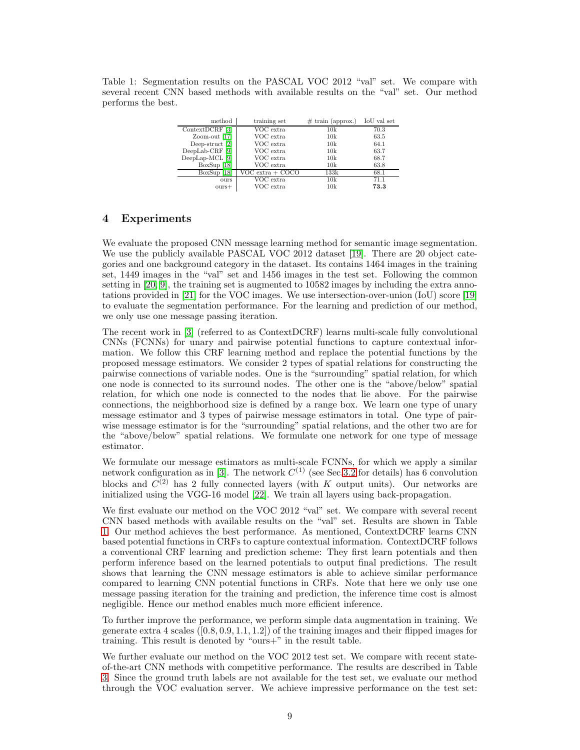<span id="page-8-1"></span>Table 1: Segmentation results on the PASCAL VOC 2012 "val" set. We compare with several recent CNN based methods with available results on the "val" set. Our method performs the best.

| method            | training set     | $\#$ train (approx.) | IoU val set |
|-------------------|------------------|----------------------|-------------|
| ContextDCRF       | VOC extra        | 10k                  | 70.3        |
| Zoom-out $[17]$   | VOC extra        | 10k                  | 63.5        |
| Deep-struct $[2]$ | VOC extra        | 10k                  | 64.1        |
| $DeepLab-CRF$     | VOC extra        | 10k                  | 63.7        |
| DeepLap-MCL [9]   | VOC extra        | 10k                  | 68.7        |
| BoxSup [18]       | VOC extra        | 10k                  | 63.8        |
| $BoxSup$ [18]     | VOC extra + COCO | 133k                 | 68.1        |
| ours              | $\rm VOC~extra$  | 10k                  | 71 1        |
| $_{\text{ours+}}$ | VOC extra        | 10k                  | 73.3        |

# <span id="page-8-0"></span>4 Experiments

We evaluate the proposed CNN message learning method for semantic image segmentation. We use the publicly available PASCAL VOC 2012 dataset [\[19\]](#page-10-16). There are 20 object categories and one background category in the dataset. Its contains 1464 images in the training set, 1449 images in the "val" set and 1456 images in the test set. Following the common setting in [\[20,](#page-10-17) [9\]](#page-10-6), the training set is augmented to 10582 images by including the extra annotations provided in [\[21\]](#page-10-18) for the VOC images. We use intersection-over-union (IoU) score [\[19\]](#page-10-16) to evaluate the segmentation performance. For the learning and prediction of our method, we only use one message passing iteration.

The recent work in [\[3\]](#page-10-0) (referred to as ContextDCRF) learns multi-scale fully convolutional CNNs (FCNNs) for unary and pairwise potential functions to capture contextual information. We follow this CRF learning method and replace the potential functions by the proposed message estimators. We consider 2 types of spatial relations for constructing the pairwise connections of variable nodes. One is the "surrounding" spatial relation, for which one node is connected to its surround nodes. The other one is the "above/below" spatial relation, for which one node is connected to the nodes that lie above. For the pairwise connections, the neighborhood size is defined by a range box. We learn one type of unary message estimator and 3 types of pairwise message estimators in total. One type of pairwise message estimator is for the "surrounding" spatial relations, and the other two are for the "above/below" spatial relations. We formulate one network for one type of message estimator.

We formulate our message estimators as multi-scale FCNNs, for which we apply a similar network configuration as in [\[3\]](#page-10-0). The network  $C^{(1)}$  (see Sec[.3.2](#page-6-0) for details) has 6 convolution blocks and  $C^{(2)}$  has 2 fully connected layers (with K output units). Our networks are initialized using the VGG-16 model [\[22\]](#page-10-19). We train all layers using back-propagation.

We first evaluate our method on the VOC 2012 "val" set. We compare with several recent CNN based methods with available results on the "val" set. Results are shown in Table [1.](#page-8-1) Our method achieves the best performance. As mentioned, ContextDCRF learns CNN based potential functions in CRFs to capture contextual information. ContextDCRF follows a conventional CRF learning and prediction scheme: They first learn potentials and then perform inference based on the learned potentials to output final predictions. The result shows that learning the CNN message estimators is able to achieve similar performance compared to learning CNN potential functions in CRFs. Note that here we only use one message passing iteration for the training and prediction, the inference time cost is almost negligible. Hence our method enables much more efficient inference.

To further improve the performance, we perform simple data augmentation in training. We generate extra 4 scales  $([0.8, 0.9, 1.1, 1.2])$  of the training images and their flipped images for training. This result is denoted by "ours+" in the result table.

We further evaluate our method on the VOC 2012 test set. We compare with recent stateof-the-art CNN methods with competitive performance. The results are described in Table [3.](#page-9-3) Since the ground truth labels are not available for the test set, we evaluate our method through the VOC evaluation server. We achieve impressive performance on the test set: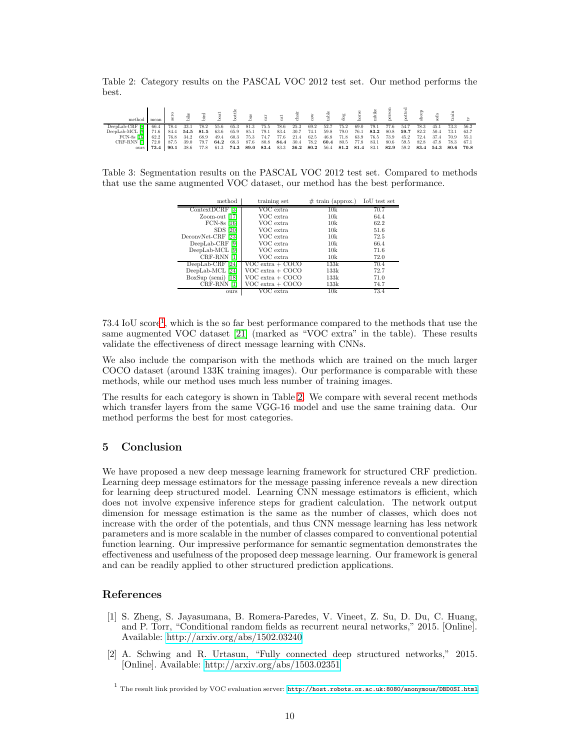<span id="page-9-5"></span>Table 2: Category results on the PASCAL VOC 2012 test set. Our method performs the best.

| methoc      | mean |      |      |      |      |      | gin  |      |      |      |      |      |      |      |      |      |      |      |      |      |      |
|-------------|------|------|------|------|------|------|------|------|------|------|------|------|------|------|------|------|------|------|------|------|------|
|             | 66.4 | 78.4 | 33.1 | 78.2 | 55.6 | 65.3 | 81.3 | 75.5 | 78.6 | 25.3 | 69.2 | 52.7 | 75.2 | 69.0 | 79.1 | 77.6 | 54.7 | 78.3 |      |      | 56.2 |
| DeepLab-MCL |      | 84.4 | 54.5 | 81.5 | 63.6 | 65.9 | 85.1 | 79.1 | 83.4 | 30.7 | 74.1 | 59.8 | 79.0 | 76.1 | 83.2 | 80.8 | 59.7 | 82.2 | 50.4 | 73.1 | 63.7 |
| FCN-8s [16] | 62.2 | 76.8 | 34.2 | 68.9 | 49.4 | 60.3 | 75.3 | 74.7 | 77.6 | 21.4 | 62.5 | 46.8 | 71.8 | 63.9 | 76.5 | 73.9 | 45.2 | 72.4 |      | 70.9 | 55.1 |
| CRF-RNN [1] | 72.0 | 87.5 | 39.0 | 79.7 | 64.2 | 68.3 | 87.6 | 80.8 | 84.4 | 30.4 | 78.2 | 60.4 | 80.5 | 77.8 | 83.1 | 80.6 | 59.5 | 82.8 |      | 78.3 | 67.1 |
| ours        | 73.4 | 90.1 | 38.6 | 77.8 |      | 74.3 | 89.0 | 83.4 | 83.3 | 36.2 | 80.2 | 56.4 | 81.2 | 81.4 | 83.1 | 82.9 | 59.2 | 83.4 | 54.3 | 80.6 | 70.8 |

<span id="page-9-3"></span>Table 3: Segmentation results on the PASCAL VOC 2012 test set. Compared to methods that use the same augmented VOC dataset, our method has the best performance.

| method               | training set           | $\#$ train (approx.) | IoU test set |
|----------------------|------------------------|----------------------|--------------|
| ContextDCRF [3]      | VOC extra              | 10k                  | 70.7         |
| Zoom-out [17         | VOC extra              | 10k                  | 64.4         |
| $FCN-8s$ [16]        | VOC extra              | 10k                  | 62.2         |
| $SDS$ [20]           | VOC extra              | 10k                  | 51.6         |
| DeconvNet-CRF [23]   | VOC extra              | 10k                  | 72.5         |
| $DeepLab-CRF$<br> 9  | VOC extra              | 10k                  | 66.4         |
| DeepLab-MCL [9]      | VOC extra              | 10k                  | 71.6         |
| CRF-RNN              | VOC extra              | 10k                  | 72.0         |
| $DeepLab-CRF$<br> 24 | VOC extra + COCO       | 133k                 | 70.4         |
| DeepLab-MCL [24]     | $VOC$ extra $+$ $COCO$ | 133k                 | 72.7         |
| $BoxSup$ (semi) [18] | VOC extra + COCO       | 133k                 | 71.0         |
| CRF-RNN [1]          | $VOC$ extra $+$ $COCO$ | 133k                 | 74.7         |
| ours                 | VOC extra              | 10k                  | 73.4         |

73.4 IoU score[1](#page-9-4) , which is the so far best performance compared to the methods that use the same augmented VOC dataset [\[21\]](#page-10-18) (marked as "VOC extra" in the table). These results validate the effectiveness of direct message learning with CNNs.

We also include the comparison with the methods which are trained on the much larger COCO dataset (around 133K training images). Our performance is comparable with these methods, while our method uses much less number of training images.

The results for each category is shown in Table [2.](#page-9-5) We compare with several recent methods which transfer layers from the same VGG-16 model and use the same training data. Our method performs the best for most categories.

# <span id="page-9-0"></span>5 Conclusion

We have proposed a new deep message learning framework for structured CRF prediction. Learning deep message estimators for the message passing inference reveals a new direction for learning deep structured model. Learning CNN message estimators is efficient, which does not involve expensive inference steps for gradient calculation. The network output dimension for message estimation is the same as the number of classes, which does not increase with the order of the potentials, and thus CNN message learning has less network parameters and is more scalable in the number of classes compared to conventional potential function learning. Our impressive performance for semantic segmentation demonstrates the effectiveness and usefulness of the proposed deep message learning. Our framework is general and can be readily applied to other structured prediction applications.

# <span id="page-9-1"></span>References

- [1] S. Zheng, S. Jayasumana, B. Romera-Paredes, V. Vineet, Z. Su, D. Du, C. Huang, and P. Torr, "Conditional random fields as recurrent neural networks," 2015. [Online]. Available:<http://arxiv.org/abs/1502.03240>
- <span id="page-9-2"></span>[2] A. Schwing and R. Urtasun, "Fully connected deep structured networks," 2015. [Online]. Available:<http://arxiv.org/abs/1503.02351>

<span id="page-9-4"></span> $^{\rm 1}$  The result link provided by VOC evaluation server: <http://host.robots.ox.ac.uk:8080/anonymous/DBD0SI.html>